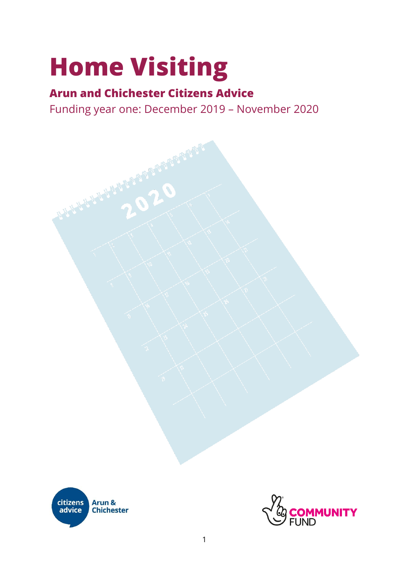# **Home Visiting**

# **Arun and Chichester Citizens Advice**

Funding year one: December 2019 – November 2020

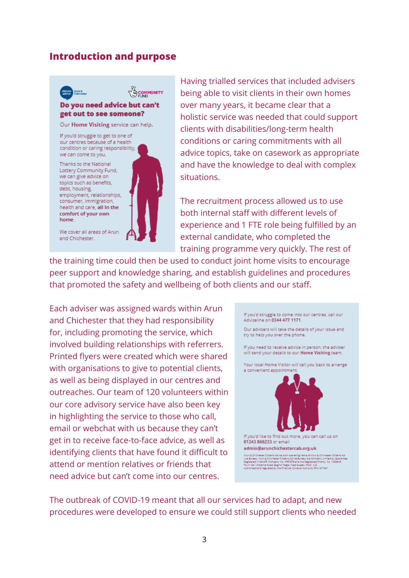#### <span id="page-2-0"></span>**Introduction and purpose**



We cover all areas of Arun and Chichester.

Having trialled services that included advisers being able to visit clients in their own homes over many years, it became clear that a holistic service was needed that could support clients with disabilities/long-term health conditions or caring commitments with all advice topics, take on casework as appropriate and have the knowledge to deal with complex situations.

The recruitment process allowed us to use both internal staff with different levels of experience and 1 FTE role being fulfilled by an external candidate, who completed the training programme very quickly. The rest of

the training time could then be used to conduct joint home visits to encourage peer support and knowledge sharing, and establish guidelines and procedures that promoted the safety and wellbeing of both clients and our staff.

Each adviser was assigned wards within Arun and Chichester that they had responsibility for, including promoting the service, which involved building relationships with referrers. Printed flyers were created which were shared with organisations to give to potential clients, as well as being displayed in our centres and outreaches. Our team of 120 volunteers within our core advisory service have also been key in highlighting the service to those who call, email or webchat with us because they can't get in to receive face-to-face advice, as well as identifying clients that have found it difficult to attend or mention relatives or friends that need advice but can't come into our centres.



The outbreak of COVID-19 meant that all our services had to adapt, and new procedures were developed to ensure we could still support clients who needed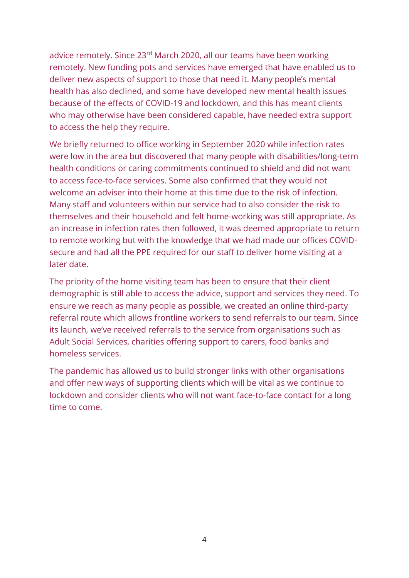advice remotely. Since 23<sup>rd</sup> March 2020, all our teams have been working remotely. New funding pots and services have emerged that have enabled us to deliver new aspects of support to those that need it. Many people's mental health has also declined, and some have developed new mental health issues because of the effects of COVID-19 and lockdown, and this has meant clients who may otherwise have been considered capable, have needed extra support to access the help they require.

We briefly returned to office working in September 2020 while infection rates were low in the area but discovered that many people with disabilities/long-term health conditions or caring commitments continued to shield and did not want to access face-to-face services. Some also confirmed that they would not welcome an adviser into their home at this time due to the risk of infection. Many staff and volunteers within our service had to also consider the risk to themselves and their household and felt home-working was still appropriate. As an increase in infection rates then followed, it was deemed appropriate to return to remote working but with the knowledge that we had made our offices COVIDsecure and had all the PPE required for our staff to deliver home visiting at a later date.

The priority of the home visiting team has been to ensure that their client demographic is still able to access the advice, support and services they need. To ensure we reach as many people as possible, we created an online third-party referral route which allows frontline workers to send referrals to our team. Since its launch, we've received referrals to the service from organisations such as Adult Social Services, charities offering support to carers, food banks and homeless services.

The pandemic has allowed us to build stronger links with other organisations and offer new ways of supporting clients which will be vital as we continue to lockdown and consider clients who will not want face-to-face contact for a long time to come.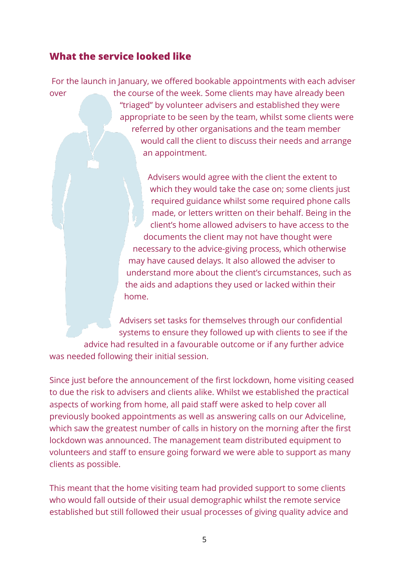## <span id="page-4-0"></span>**What the service looked like**

For the launch in January, we offered bookable appointments with each adviser over the course of the week. Some clients may have already been "triaged" by volunteer advisers and established they were appropriate to be seen by the team, whilst some clients were referred by other organisations and the team member would call the client to discuss their needs and arrange an appointment.

> Advisers would agree with the client the extent to which they would take the case on; some clients just required guidance whilst some required phone calls made, or letters written on their behalf. Being in the client's home allowed advisers to have access to the documents the client may not have thought were necessary to the advice-giving process, which otherwise may have caused delays. It also allowed the adviser to understand more about the client's circumstances, such as the aids and adaptions they used or lacked within their home.

Advisers set tasks for themselves through our confidential systems to ensure they followed up with clients to see if the advice had resulted in a favourable outcome or if any further advice was needed following their initial session.

Since just before the announcement of the first lockdown, home visiting ceased to due the risk to advisers and clients alike. Whilst we established the practical aspects of working from home, all paid staff were asked to help cover all previously booked appointments as well as answering calls on our Adviceline, which saw the greatest number of calls in history on the morning after the first lockdown was announced. The management team distributed equipment to volunteers and staff to ensure going forward we were able to support as many clients as possible.

This meant that the home visiting team had provided support to some clients who would fall outside of their usual demographic whilst the remote service established but still followed their usual processes of giving quality advice and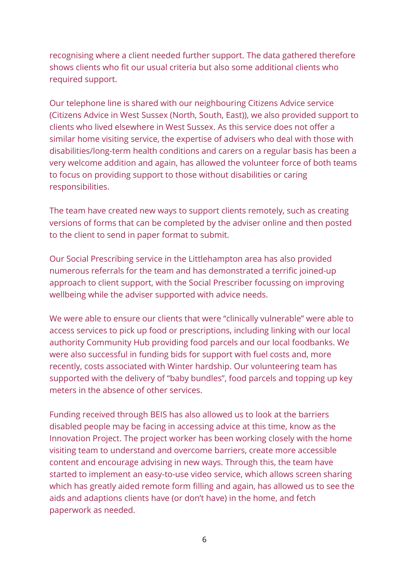recognising where a client needed further support. The data gathered therefore shows clients who fit our usual criteria but also some additional clients who required support.

Our telephone line is shared with our neighbouring Citizens Advice service (Citizens Advice in West Sussex (North, South, East)), we also provided support to clients who lived elsewhere in West Sussex. As this service does not offer a similar home visiting service, the expertise of advisers who deal with those with disabilities/long-term health conditions and carers on a regular basis has been a very welcome addition and again, has allowed the volunteer force of both teams to focus on providing support to those without disabilities or caring responsibilities.

The team have created new ways to support clients remotely, such as creating versions of forms that can be completed by the adviser online and then posted to the client to send in paper format to submit.

Our Social Prescribing service in the Littlehampton area has also provided numerous referrals for the team and has demonstrated a terrific joined-up approach to client support, with the Social Prescriber focussing on improving wellbeing while the adviser supported with advice needs.

We were able to ensure our clients that were "clinically vulnerable" were able to access services to pick up food or prescriptions, including linking with our local authority Community Hub providing food parcels and our local foodbanks. We were also successful in funding bids for support with fuel costs and, more recently, costs associated with Winter hardship. Our volunteering team has supported with the delivery of "baby bundles", food parcels and topping up key meters in the absence of other services.

Funding received through BEIS has also allowed us to look at the barriers disabled people may be facing in accessing advice at this time, know as the Innovation Project. The project worker has been working closely with the home visiting team to understand and overcome barriers, create more accessible content and encourage advising in new ways. Through this, the team have started to implement an easy-to-use video service, which allows screen sharing which has greatly aided remote form filling and again, has allowed us to see the aids and adaptions clients have (or don't have) in the home, and fetch paperwork as needed.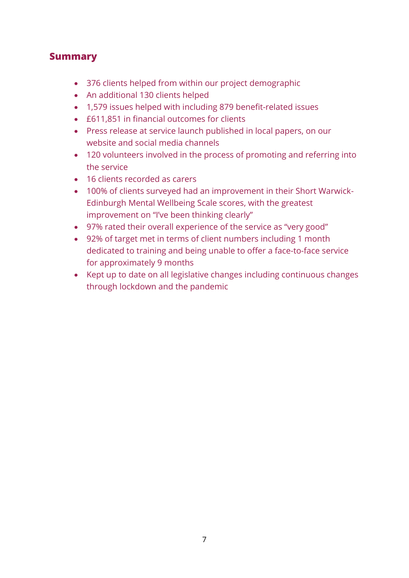## <span id="page-6-0"></span>**Summary**

- 376 clients helped from within our project demographic
- An additional 130 clients helped
- 1,579 issues helped with including 879 benefit-related issues
- £611,851 in financial outcomes for clients
- Press release at service launch published in local papers, on our website and social media channels
- 120 volunteers involved in the process of promoting and referring into the service
- 16 clients recorded as carers
- 100% of clients surveyed had an improvement in their Short Warwick-Edinburgh Mental Wellbeing Scale scores, with the greatest improvement on "I've been thinking clearly"
- 97% rated their overall experience of the service as "very good"
- 92% of target met in terms of client numbers including 1 month dedicated to training and being unable to offer a face-to-face service for approximately 9 months
- Kept up to date on all legislative changes including continuous changes through lockdown and the pandemic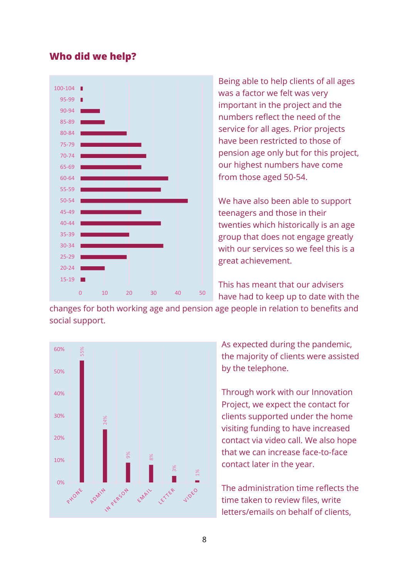#### <span id="page-7-0"></span>**Who did we help?**



Being able to help clients of all ages was a factor we felt was very important in the project and the numbers reflect the need of the service for all ages. Prior projects have been restricted to those of pension age only but for this project, our highest numbers have come from those aged 50-54.

We have also been able to support teenagers and those in their twenties which historically is an age group that does not engage greatly with our services so we feel this is a great achievement.

This has meant that our advisers have had to keep up to date with the

changes for both working age and pension age people in relation to benefits and social support.



As expected during the pandemic, the majority of clients were assisted by the telephone.

Through work with our Innovation Project, we expect the contact for clients supported under the home visiting funding to have increased contact via video call. We also hope that we can increase face-to-face contact later in the year.

The administration time reflects the time taken to review files, write letters/emails on behalf of clients,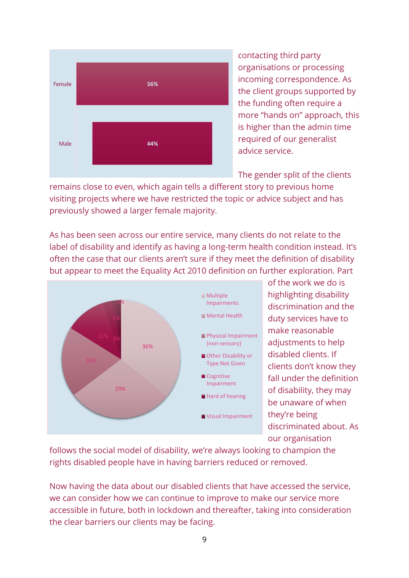

contacting third party organisations or processing incoming correspondence. As the client groups supported by the funding often require a more "hands on" approach, this is higher than the admin time required of our generalist advice service.

The gender split of the clients

remains close to even, which again tells a different story to previous home visiting projects where we have restricted the topic or advice subject and has previously showed a larger female majority.

As has been seen across our entire service, many clients do not relate to the label of disability and identify as having a long-term health condition instead. It's often the case that our clients aren't sure if they meet the definition of disability but appear to meet the Equality Act 2010 definition on further exploration. Part



of the work we do is highlighting disability discrimination and the duty services have to make reasonable adjustments to help disabled clients. If clients don't know they fall under the definition of disability, they may be unaware of when they're being discriminated about. As our organisation

follows the social model of disability, we're always looking to champion the rights disabled people have in having barriers reduced or removed.

Now having the data about our disabled clients that have accessed the service, we can consider how we can continue to improve to make our service more accessible in future, both in lockdown and thereafter, taking into consideration the clear barriers our clients may be facing.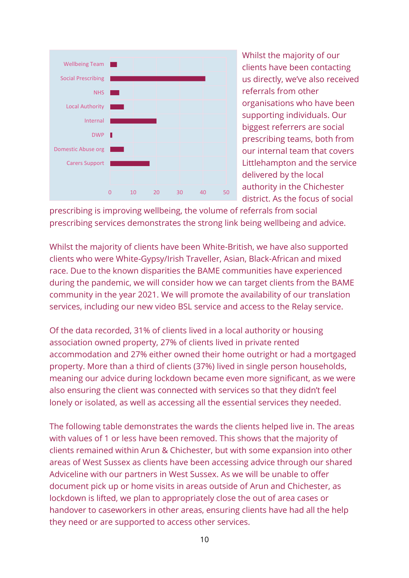

Whilst the majority of our clients have been contacting us directly, we've also received referrals from other organisations who have been supporting individuals. Our biggest referrers are social prescribing teams, both from our internal team that covers Littlehampton and the service delivered by the local authority in the Chichester district. As the focus of social

prescribing is improving wellbeing, the volume of referrals from social prescribing services demonstrates the strong link being wellbeing and advice.

Whilst the majority of clients have been White-British, we have also supported clients who were White-Gypsy/Irish Traveller, Asian, Black-African and mixed race. Due to the known disparities the BAME communities have experienced during the pandemic, we will consider how we can target clients from the BAME community in the year 2021. We will promote the availability of our translation services, including our new video BSL service and access to the Relay service.

Of the data recorded, 31% of clients lived in a local authority or housing association owned property, 27% of clients lived in private rented accommodation and 27% either owned their home outright or had a mortgaged property. More than a third of clients (37%) lived in single person households, meaning our advice during lockdown became even more significant, as we were also ensuring the client was connected with services so that they didn't feel lonely or isolated, as well as accessing all the essential services they needed.

The following table demonstrates the wards the clients helped live in. The areas with values of 1 or less have been removed. This shows that the majority of clients remained within Arun & Chichester, but with some expansion into other areas of West Sussex as clients have been accessing advice through our shared Adviceline with our partners in West Sussex. As we will be unable to offer document pick up or home visits in areas outside of Arun and Chichester, as lockdown is lifted, we plan to appropriately close the out of area cases or handover to caseworkers in other areas, ensuring clients have had all the help they need or are supported to access other services.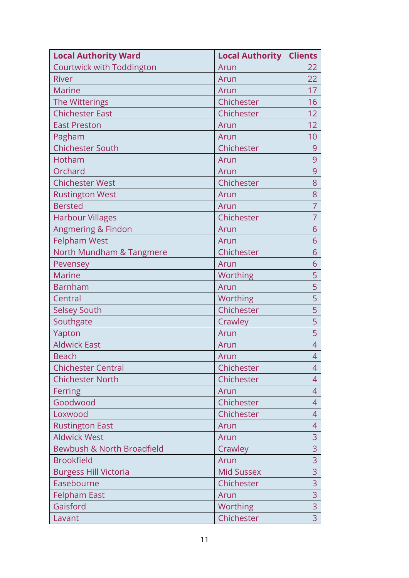| <b>Local Authority Ward</b>  | <b>Local Authority   Clients</b> |                 |
|------------------------------|----------------------------------|-----------------|
| Courtwick with Toddington    | Arun                             | 22              |
| <b>River</b>                 | Arun                             | 22              |
| <b>Marine</b>                | Arun                             | 17              |
| The Witterings               | Chichester                       | 16              |
| <b>Chichester East</b>       | Chichester                       | 12              |
| <b>East Preston</b>          | Arun                             | 12              |
| Pagham                       | Arun                             | 10 <sup>1</sup> |
| <b>Chichester South</b>      | Chichester                       | 9               |
| Hotham                       | Arun                             | 9               |
| Orchard                      | Arun                             | 9               |
| <b>Chichester West</b>       | Chichester                       | 8               |
| <b>Rustington West</b>       | Arun                             | 8               |
| <b>Bersted</b>               | Arun                             | 7               |
| <b>Harbour Villages</b>      | Chichester                       | $\overline{7}$  |
| Angmering & Findon           | Arun                             | 6               |
| <b>Felpham West</b>          | Arun                             | 6               |
| North Mundham & Tangmere     | Chichester                       | 6               |
| Pevensey                     | Arun                             | 6               |
| <b>Marine</b>                | Worthing                         | 5               |
| <b>Barnham</b>               | Arun                             | 5               |
| Central                      | Worthing                         | 5               |
| <b>Selsey South</b>          | Chichester                       | 5               |
| Southgate                    | Crawley                          | 5               |
| Yapton                       | Arun                             | 5               |
| <b>Aldwick East</b>          | Arun                             | $\overline{4}$  |
| <b>Beach</b>                 | Arun                             | 4               |
| <b>Chichester Central</b>    | Chichester                       | 4               |
| <b>Chichester North</b>      | Chichester                       | 4               |
| Ferring                      | Arun                             | 4               |
| Goodwood                     | Chichester                       | 4               |
| Loxwood                      | Chichester                       | 4               |
| <b>Rustington East</b>       | Arun                             | 4               |
| <b>Aldwick West</b>          | Arun                             | 3               |
| Bewbush & North Broadfield   | Crawley                          | 3               |
| <b>Brookfield</b>            | Arun                             | 3               |
| <b>Burgess Hill Victoria</b> | <b>Mid Sussex</b>                | 3               |
| Easebourne                   | Chichester                       | 3               |
| <b>Felpham East</b>          | Arun                             | $\overline{3}$  |
| Gaisford                     | Worthing                         | 3               |
| Lavant                       | Chichester                       | $\overline{3}$  |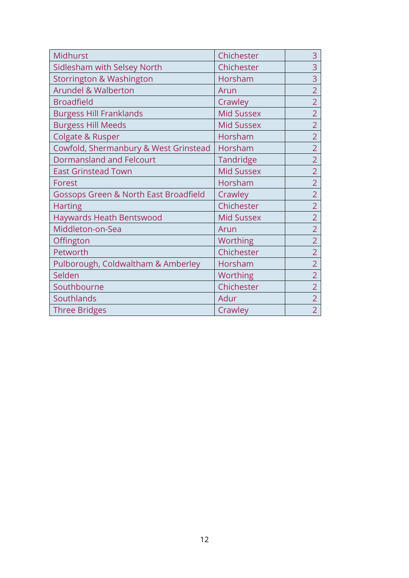| Midhurst                                         | Chichester        | 3              |
|--------------------------------------------------|-------------------|----------------|
| Sidlesham with Selsey North                      | Chichester        | 3              |
| <b>Storrington &amp; Washington</b>              | Horsham           | 3              |
| <b>Arundel &amp; Walberton</b>                   | Arun              | $\overline{2}$ |
| <b>Broadfield</b>                                | Crawley           | $\overline{2}$ |
| <b>Burgess Hill Franklands</b>                   | <b>Mid Sussex</b> | $\overline{2}$ |
| <b>Burgess Hill Meeds</b>                        | <b>Mid Sussex</b> | $\overline{2}$ |
| <b>Colgate &amp; Rusper</b>                      | Horsham           | $\overline{2}$ |
| Cowfold, Shermanbury & West Grinstead            | Horsham           | $\overline{2}$ |
| <b>Dormansland and Felcourt</b>                  | <b>Tandridge</b>  | $\overline{2}$ |
| <b>East Grinstead Town</b>                       | <b>Mid Sussex</b> | $\overline{2}$ |
| Forest                                           | Horsham           | $\overline{2}$ |
| <b>Gossops Green &amp; North East Broadfield</b> | Crawley           | $\overline{2}$ |
| <b>Harting</b>                                   | Chichester        | $\overline{2}$ |
| <b>Haywards Heath Bentswood</b>                  | <b>Mid Sussex</b> | $\overline{2}$ |
| Middleton-on-Sea                                 | Arun              | $\overline{2}$ |
| Offington                                        | Worthing          | $\overline{2}$ |
| Petworth                                         | Chichester        | $\overline{2}$ |
| Pulborough, Coldwaltham & Amberley               | Horsham           | $\overline{2}$ |
| Selden                                           | Worthing          | $\overline{2}$ |
| Southbourne                                      | Chichester        | $\overline{2}$ |
| Southlands                                       | Adur              | $\overline{2}$ |
| <b>Three Bridges</b>                             | Crawley           | $\overline{2}$ |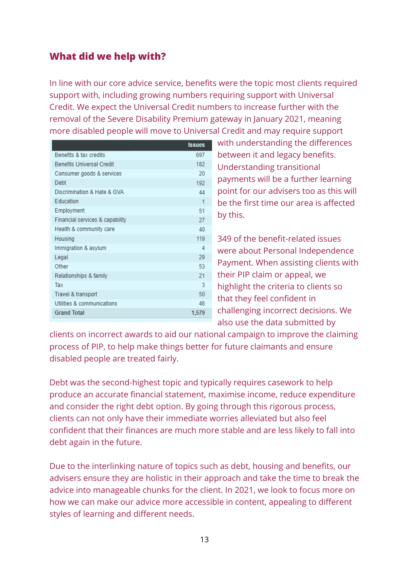# <span id="page-12-0"></span>**What did we help with?**

In line with our core advice service, benefits were the topic most clients required support with, including growing numbers requiring support with Universal Credit. We expect the Universal Credit numbers to increase further with the removal of the Severe Disability Premium gateway in January 2021, meaning more disabled people will move to Universal Credit and may require support

|                                  | <b>Issues</b> |
|----------------------------------|---------------|
| Benefits & tax credits           | 697           |
| <b>Benefits Universal Credit</b> | 182           |
| Consumer goods & services        | 20            |
| Debt                             | 192           |
| Discrimination & Hate & GVA      | 44            |
| Education                        | 1             |
| Employment                       | 51            |
| Financial services & capability  | 27            |
| Health & community care          | 40            |
| Housing                          | 119           |
| Immigration & asylum             | Δ             |
| Legal                            | 29            |
| Other                            | 53            |
| Relationships & family           | 21            |
| Tax                              | 3             |
| Travel & transport               | 50            |
| Utilities & communications       | 46            |
| <b>Grand Total</b>               | 1,579         |
|                                  |               |

with understanding the differences between it and legacy benefits. Understanding transitional payments will be a further learning point for our advisers too as this will be the first time our area is affected by this.

349 of the benefit-related issues were about Personal Independence Payment. When assisting clients with their PIP claim or appeal, we highlight the criteria to clients so that they feel confident in challenging incorrect decisions. We also use the data submitted by

clients on incorrect awards to aid our national campaign to improve the claiming process of PIP, to help make things better for future claimants and ensure disabled people are treated fairly.

Debt was the second-highest topic and typically requires casework to help produce an accurate financial statement, maximise income, reduce expenditure and consider the right debt option. By going through this rigorous process, clients can not only have their immediate worries alleviated but also feel confident that their finances are much more stable and are less likely to fall into debt again in the future.

Due to the interlinking nature of topics such as debt, housing and benefits, our advisers ensure they are holistic in their approach and take the time to break the advice into manageable chunks for the client. In 2021, we look to focus more on how we can make our advice more accessible in content, appealing to different styles of learning and different needs.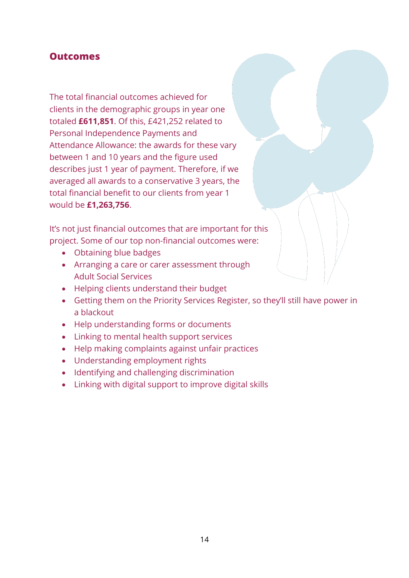#### <span id="page-13-0"></span>**Outcomes**

The total financial outcomes achieved for clients in the demographic groups in year one totaled **£611,851**. Of this, £421,252 related to Personal Independence Payments and Attendance Allowance: the awards for these vary between 1 and 10 years and the figure used describes just 1 year of payment. Therefore, if we averaged all awards to a conservative 3 years, the total financial benefit to our clients from year 1 would be **£1,263,756**.

It's not just financial outcomes that are important for this project. Some of our top non-financial outcomes were:

- Obtaining blue badges
- Arranging a care or carer assessment through Adult Social Services
- Helping clients understand their budget
- Getting them on the Priority Services Register, so they'll still have power in a blackout
- Help understanding forms or documents
- Linking to mental health support services
- Help making complaints against unfair practices
- Understanding employment rights
- Identifying and challenging discrimination
- Linking with digital support to improve digital skills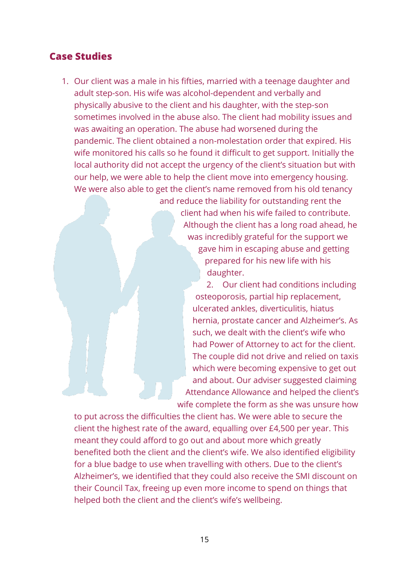#### <span id="page-14-0"></span>**Case Studies**

1. Our client was a male in his fifties, married with a teenage daughter and adult step-son. His wife was alcohol-dependent and verbally and physically abusive to the client and his daughter, with the step-son sometimes involved in the abuse also. The client had mobility issues and was awaiting an operation. The abuse had worsened during the pandemic. The client obtained a non-molestation order that expired. His wife monitored his calls so he found it difficult to get support. Initially the local authority did not accept the urgency of the client's situation but with our help, we were able to help the client move into emergency housing. We were also able to get the client's name removed from his old tenancy

> and reduce the liability for outstanding rent the client had when his wife failed to contribute. Although the client has a long road ahead, he was incredibly grateful for the support we gave him in escaping abuse and getting prepared for his new life with his daughter.

2. Our client had conditions including osteoporosis, partial hip replacement, ulcerated ankles, diverticulitis, hiatus hernia, prostate cancer and Alzheimer's. As such, we dealt with the client's wife who had Power of Attorney to act for the client. The couple did not drive and relied on taxis which were becoming expensive to get out and about. Our adviser suggested claiming Attendance Allowance and helped the client's wife complete the form as she was unsure how

to put across the difficulties the client has. We were able to secure the client the highest rate of the award, equalling over £4,500 per year. This meant they could afford to go out and about more which greatly benefited both the client and the client's wife. We also identified eligibility for a blue badge to use when travelling with others. Due to the client's Alzheimer's, we identified that they could also receive the SMI discount on their Council Tax, freeing up even more income to spend on things that helped both the client and the client's wife's wellbeing.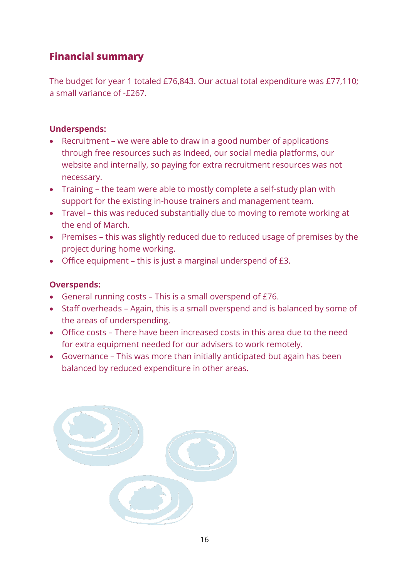# <span id="page-15-0"></span>**Financial summary**

The budget for year 1 totaled £76,843. Our actual total expenditure was £77,110; a small variance of -£267.

#### **Underspends:**

- Recruitment we were able to draw in a good number of applications through free resources such as Indeed, our social media platforms, our website and internally, so paying for extra recruitment resources was not necessary.
- Training the team were able to mostly complete a self-study plan with support for the existing in-house trainers and management team.
- Travel this was reduced substantially due to moving to remote working at the end of March.
- Premises this was slightly reduced due to reduced usage of premises by the project during home working.
- Office equipment this is just a marginal underspend of £3.

#### **Overspends:**

- General running costs This is a small overspend of £76.
- Staff overheads Again, this is a small overspend and is balanced by some of the areas of underspending.
- Office costs There have been increased costs in this area due to the need for extra equipment needed for our advisers to work remotely.
- Governance This was more than initially anticipated but again has been balanced by reduced expenditure in other areas.

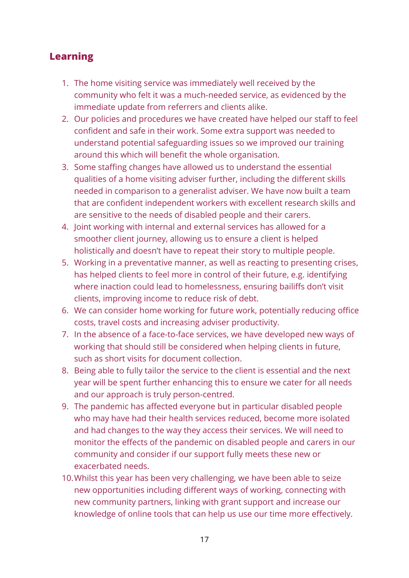# <span id="page-16-0"></span>**Learning**

- 1. The home visiting service was immediately well received by the community who felt it was a much-needed service, as evidenced by the immediate update from referrers and clients alike.
- 2. Our policies and procedures we have created have helped our staff to feel confident and safe in their work. Some extra support was needed to understand potential safeguarding issues so we improved our training around this which will benefit the whole organisation.
- 3. Some staffing changes have allowed us to understand the essential qualities of a home visiting adviser further, including the different skills needed in comparison to a generalist adviser. We have now built a team that are confident independent workers with excellent research skills and are sensitive to the needs of disabled people and their carers.
- 4. Joint working with internal and external services has allowed for a smoother client journey, allowing us to ensure a client is helped holistically and doesn't have to repeat their story to multiple people.
- 5. Working in a preventative manner, as well as reacting to presenting crises, has helped clients to feel more in control of their future, e.g. identifying where inaction could lead to homelessness, ensuring bailiffs don't visit clients, improving income to reduce risk of debt.
- 6. We can consider home working for future work, potentially reducing office costs, travel costs and increasing adviser productivity.
- 7. In the absence of a face-to-face services, we have developed new ways of working that should still be considered when helping clients in future, such as short visits for document collection.
- 8. Being able to fully tailor the service to the client is essential and the next year will be spent further enhancing this to ensure we cater for all needs and our approach is truly person-centred.
- 9. The pandemic has affected everyone but in particular disabled people who may have had their health services reduced, become more isolated and had changes to the way they access their services. We will need to monitor the effects of the pandemic on disabled people and carers in our community and consider if our support fully meets these new or exacerbated needs.
- 10.Whilst this year has been very challenging, we have been able to seize new opportunities including different ways of working, connecting with new community partners, linking with grant support and increase our knowledge of online tools that can help us use our time more effectively.